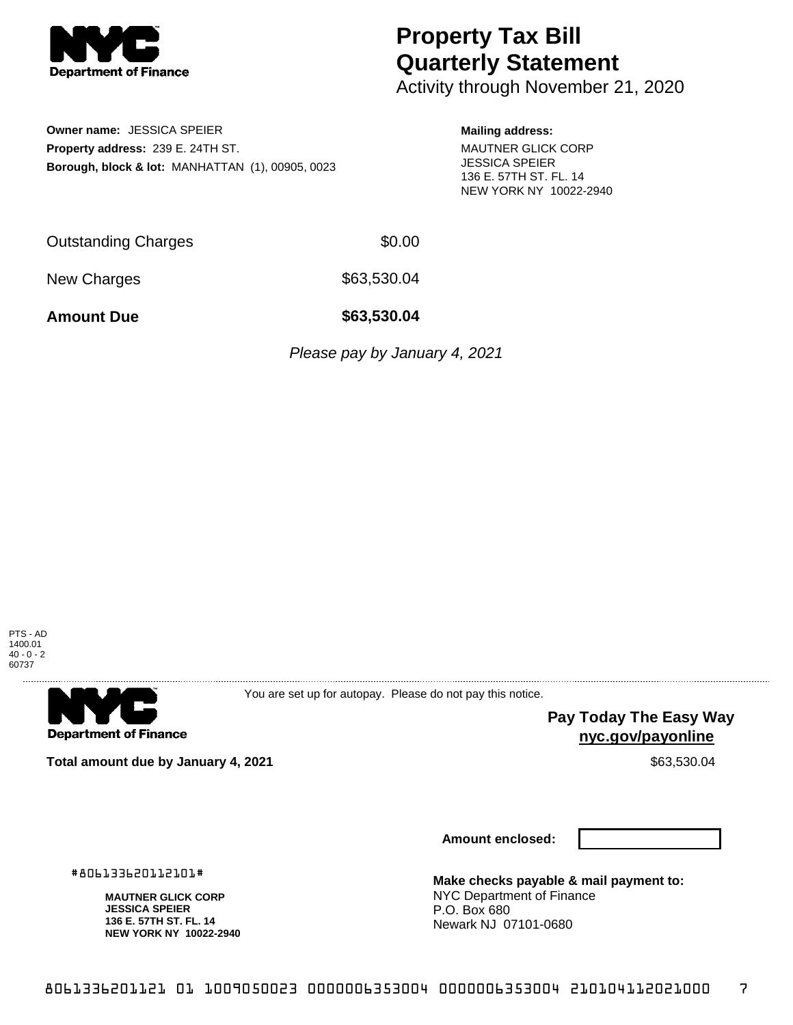

**Owner name:** JESSICA SPEIER **Property address:** 239 E. 24TH ST.

**Borough, block & lot:** MANHATTAN (1), 00905, 0023

## **Property Tax Bill Quarterly Statement**

Activity through November 21, 2020

## **Mailing address:**

MAUTNER GLICK CORP JESSICA SPEIER 136 E. 57TH ST. FL. 14 NEW YORK NY 10022-2940

Outstanding Charges \$0.00

New Charges \$63,530.04

**Amount Due \$63,530.04**

Please pay by January 4, 2021



**Department of Finance** 

You are set up for autopay. Please do not pay this notice.

> **Pay Today The Easy Way nyc.gov/payonline**

**Total amount due by January 4, 2021**  $\bullet$  **10.83530.04**  $\bullet$  \$63,530.04

**MAUTNER GLICK CORP JESSICA SPEIER 136 E. 57TH ST. FL. 14 NEW YORK NY 10022-2940**

#806133620112101#

**Amount enclosed:**

**Make checks payable & mail payment to:** NYC Department of Finance P.O. Box 680 Newark NJ 07101-0680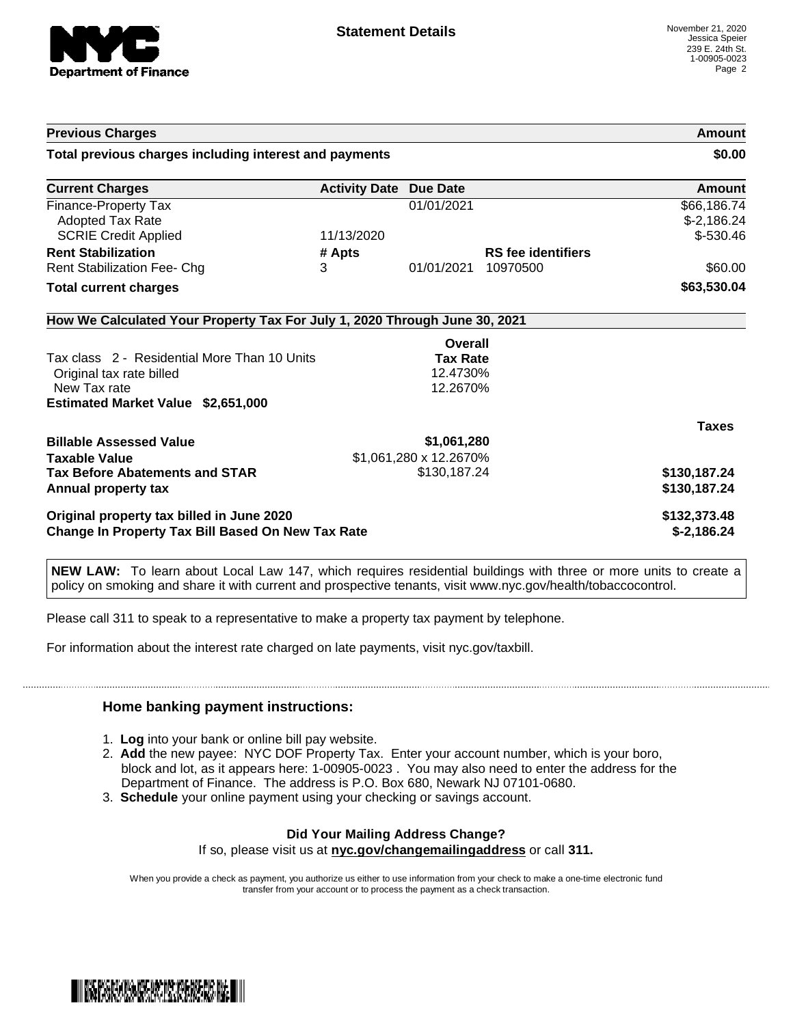

| <b>Previous Charges</b><br>Total previous charges including interest and payments                  |            |                        |                           | Amount<br>\$0.00            |
|----------------------------------------------------------------------------------------------------|------------|------------------------|---------------------------|-----------------------------|
|                                                                                                    |            |                        |                           |                             |
| <b>Finance-Property Tax</b><br>Adopted Tax Rate                                                    |            | 01/01/2021             |                           | \$66,186.74<br>$$-2,186.24$ |
| <b>SCRIE Credit Applied</b>                                                                        | 11/13/2020 |                        |                           | $$-530.46$                  |
| <b>Rent Stabilization</b>                                                                          | # Apts     |                        | <b>RS</b> fee identifiers |                             |
| Rent Stabilization Fee- Chg                                                                        | 3          | 01/01/2021             | 10970500                  | \$60.00                     |
| <b>Total current charges</b>                                                                       |            |                        |                           | \$63,530.04                 |
| How We Calculated Your Property Tax For July 1, 2020 Through June 30, 2021                         |            |                        |                           |                             |
|                                                                                                    |            | Overall                |                           |                             |
| Tax class 2 - Residential More Than 10 Units                                                       |            | <b>Tax Rate</b>        |                           |                             |
|                                                                                                    |            |                        |                           |                             |
| Original tax rate billed                                                                           |            | 12.4730%               |                           |                             |
| New Tax rate                                                                                       |            | 12.2670%               |                           |                             |
| Estimated Market Value \$2,651,000                                                                 |            |                        |                           |                             |
|                                                                                                    |            |                        |                           | <b>Taxes</b>                |
|                                                                                                    |            | \$1,061,280            |                           |                             |
| <b>Taxable Value</b>                                                                               |            | \$1,061,280 x 12.2670% |                           |                             |
| <b>Tax Before Abatements and STAR</b>                                                              |            | \$130,187.24           |                           | \$130,187.24                |
|                                                                                                    |            |                        |                           | \$130,187.24                |
| <b>Billable Assessed Value</b><br>Annual property tax<br>Original property tax billed in June 2020 |            |                        |                           | \$132,373.48                |

**NEW LAW:** To learn about Local Law 147, which requires residential buildings with three or more units to create a policy on smoking and share it with current and prospective tenants, visit www.nyc.gov/health/tobaccocontrol.

Please call 311 to speak to a representative to make a property tax payment by telephone.

For information about the interest rate charged on late payments, visit nyc.gov/taxbill.

## **Home banking payment instructions:**

- 1. **Log** into your bank or online bill pay website.
- 2. **Add** the new payee: NYC DOF Property Tax. Enter your account number, which is your boro, block and lot, as it appears here: 1-00905-0023 . You may also need to enter the address for the Department of Finance. The address is P.O. Box 680, Newark NJ 07101-0680.
- 3. **Schedule** your online payment using your checking or savings account.

## **Did Your Mailing Address Change?**

If so, please visit us at **nyc.gov/changemailingaddress** or call **311.**

When you provide a check as payment, you authorize us either to use information from your check to make a one-time electronic fund transfer from your account or to process the payment as a check transaction.